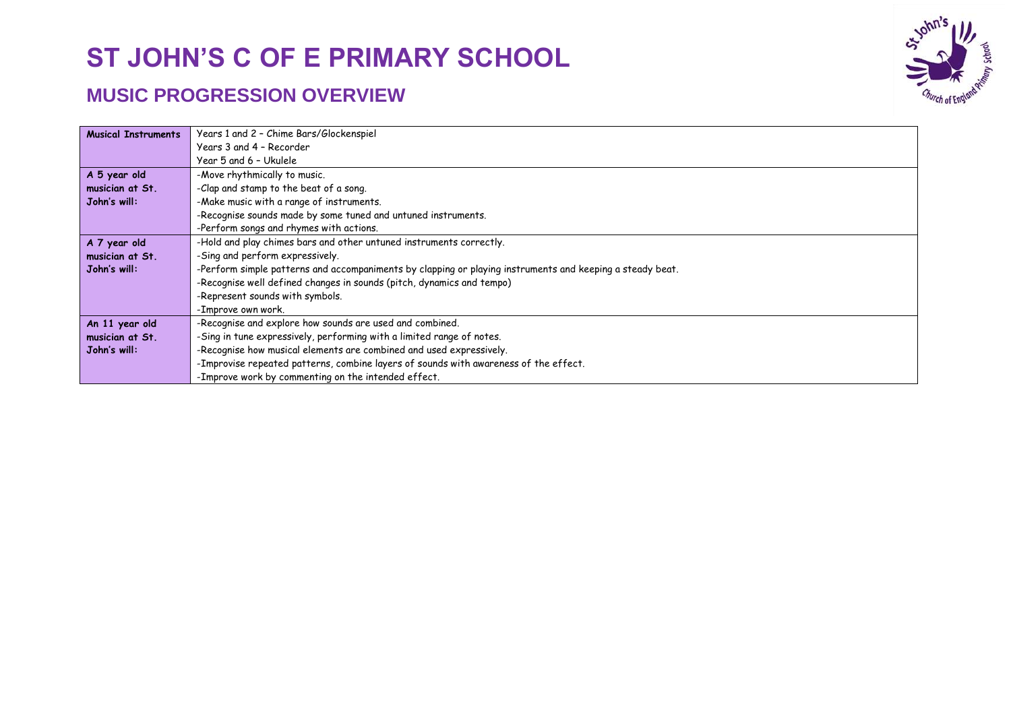

| <b>Musical Instruments</b> | Years 1 and 2 - Chime Bars/Glockenspiel                                                                   |  |  |
|----------------------------|-----------------------------------------------------------------------------------------------------------|--|--|
|                            | Years 3 and 4 - Recorder                                                                                  |  |  |
|                            | Year 5 and 6 - Ukulele                                                                                    |  |  |
| A 5 year old               | -Move rhythmically to music.                                                                              |  |  |
| musician at St.            | -Clap and stamp to the beat of a song.                                                                    |  |  |
| John's will:               | -Make music with a range of instruments.                                                                  |  |  |
|                            | -Recognise sounds made by some tuned and untuned instruments.                                             |  |  |
|                            | -Perform songs and rhymes with actions.                                                                   |  |  |
| A 7 year old               | -Hold and play chimes bars and other untuned instruments correctly.                                       |  |  |
| musician at St.            | -Sing and perform expressively.                                                                           |  |  |
| John's will:               | -Perform simple patterns and accompaniments by clapping or playing instruments and keeping a steady beat. |  |  |
|                            | -Recognise well defined changes in sounds (pitch, dynamics and tempo)                                     |  |  |
|                            | -Represent sounds with symbols.                                                                           |  |  |
|                            | -Improve own work.                                                                                        |  |  |
| An 11 year old             | -Recognise and explore how sounds are used and combined.                                                  |  |  |
| musician at St.            | -Sing in tune expressively, performing with a limited range of notes.                                     |  |  |
| John's will:               | -Recognise how musical elements are combined and used expressively.                                       |  |  |
|                            | -Improvise repeated patterns, combine layers of sounds with awareness of the effect.                      |  |  |
|                            | -Improve work by commenting on the intended effect.                                                       |  |  |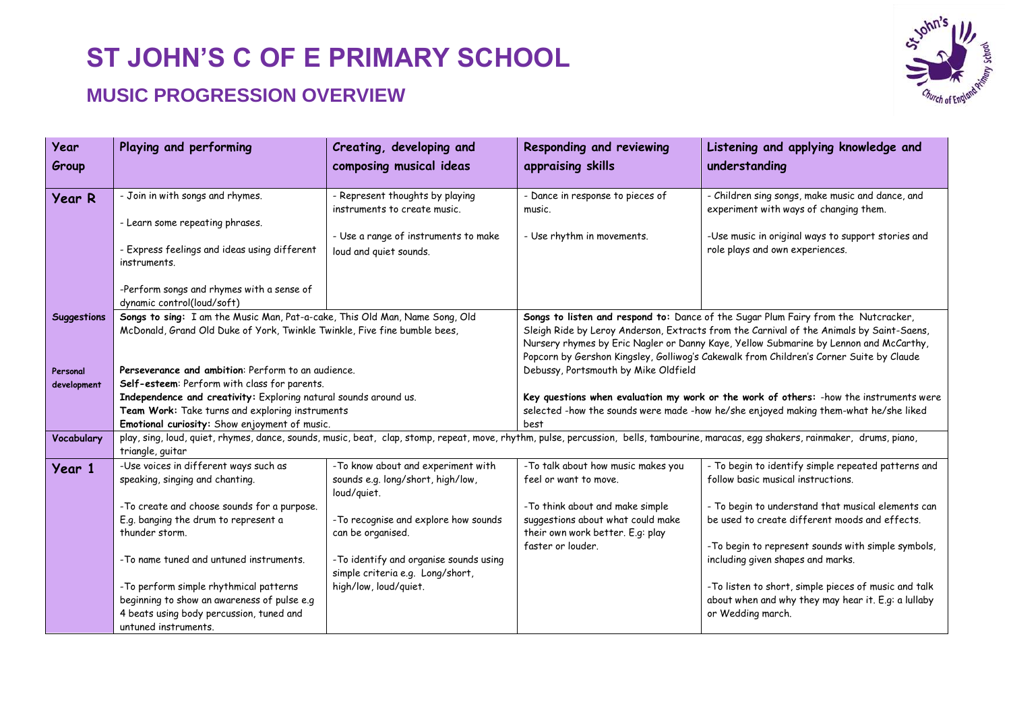

| Year               | Playing and performing                                                                                                                                                                                   | Creating, developing and               | Responding and reviewing                                                                 | Listening and applying knowledge and                                                    |  |
|--------------------|----------------------------------------------------------------------------------------------------------------------------------------------------------------------------------------------------------|----------------------------------------|------------------------------------------------------------------------------------------|-----------------------------------------------------------------------------------------|--|
| Group              |                                                                                                                                                                                                          | composing musical ideas                | appraising skills                                                                        | understanding                                                                           |  |
|                    |                                                                                                                                                                                                          |                                        |                                                                                          |                                                                                         |  |
| <b>Year R</b>      | - Join in with songs and rhymes.                                                                                                                                                                         | - Represent thoughts by playing        | - Dance in response to pieces of                                                         | - Children sing songs, make music and dance, and                                        |  |
|                    |                                                                                                                                                                                                          | instruments to create music.           | music.                                                                                   | experiment with ways of changing them.                                                  |  |
|                    | - Learn some repeating phrases.                                                                                                                                                                          |                                        |                                                                                          |                                                                                         |  |
|                    |                                                                                                                                                                                                          | - Use a range of instruments to make   | - Use rhythm in movements.                                                               | -Use music in original ways to support stories and                                      |  |
|                    | - Express feelings and ideas using different                                                                                                                                                             | loud and quiet sounds.                 |                                                                                          | role plays and own experiences.                                                         |  |
|                    | instruments.                                                                                                                                                                                             |                                        |                                                                                          |                                                                                         |  |
|                    | -Perform songs and rhymes with a sense of                                                                                                                                                                |                                        |                                                                                          |                                                                                         |  |
|                    | dynamic control(loud/soft)                                                                                                                                                                               |                                        |                                                                                          |                                                                                         |  |
| <b>Suggestions</b> | Songs to sing: I am the Music Man, Pat-a-cake, This Old Man, Name Song, Old                                                                                                                              |                                        |                                                                                          | Songs to listen and respond to: Dance of the Sugar Plum Fairy from the Nutcracker,      |  |
|                    | McDonald, Grand Old Duke of York, Twinkle Twinkle, Five fine bumble bees,                                                                                                                                |                                        | Sleigh Ride by Leroy Anderson, Extracts from the Carnival of the Animals by Saint-Saens, |                                                                                         |  |
|                    |                                                                                                                                                                                                          |                                        |                                                                                          | Nursery rhymes by Eric Nagler or Danny Kaye, Yellow Submarine by Lennon and McCarthy,   |  |
|                    |                                                                                                                                                                                                          |                                        | Popcorn by Gershon Kingsley, Golliwog's Cakewalk from Children's Corner Suite by Claude  |                                                                                         |  |
| Personal           | Perseverance and ambition: Perform to an audience.                                                                                                                                                       |                                        | Debussy, Portsmouth by Mike Oldfield                                                     |                                                                                         |  |
| development        | Self-esteem: Perform with class for parents.                                                                                                                                                             |                                        |                                                                                          |                                                                                         |  |
|                    | Independence and creativity: Exploring natural sounds around us.                                                                                                                                         |                                        |                                                                                          | Key questions when evaluation my work or the work of others: - how the instruments were |  |
|                    | Team Work: Take turns and exploring instruments                                                                                                                                                          |                                        |                                                                                          | selected -how the sounds were made -how he/she enjoyed making them-what he/she liked    |  |
|                    | Emotional curiosity: Show enjoyment of music.                                                                                                                                                            |                                        | best                                                                                     |                                                                                         |  |
| Vocabulary         | play, sing, loud, quiet, rhymes, dance, sounds, music, beat, clap, stomp, repeat, move, rhythm, pulse, percussion, bells, tambourine, maracas, egg shakers, rainmaker, drums, piano,<br>triangle, guitar |                                        |                                                                                          |                                                                                         |  |
|                    | -Use voices in different ways such as                                                                                                                                                                    | -To know about and experiment with     | -To talk about how music makes you                                                       | - To begin to identify simple repeated patterns and                                     |  |
| Year 1             | speaking, singing and chanting.                                                                                                                                                                          | sounds e.g. long/short, high/low,      | feel or want to move.                                                                    | follow basic musical instructions.                                                      |  |
|                    |                                                                                                                                                                                                          | loud/quiet.                            |                                                                                          |                                                                                         |  |
|                    | - To create and choose sounds for a purpose.                                                                                                                                                             |                                        | -To think about and make simple                                                          | - To begin to understand that musical elements can                                      |  |
|                    | E.g. banging the drum to represent a                                                                                                                                                                     | - To recognise and explore how sounds  | suggestions about what could make                                                        | be used to create different moods and effects.                                          |  |
|                    | thunder storm.                                                                                                                                                                                           | can be organised.                      | their own work better. E.g: play                                                         |                                                                                         |  |
|                    |                                                                                                                                                                                                          |                                        | faster or louder.                                                                        | -To begin to represent sounds with simple symbols,                                      |  |
|                    | -To name tuned and untuned instruments.                                                                                                                                                                  | -To identify and organise sounds using |                                                                                          | including given shapes and marks.                                                       |  |
|                    |                                                                                                                                                                                                          | simple criteria e.g. Long/short,       |                                                                                          |                                                                                         |  |
|                    | -To perform simple rhythmical patterns                                                                                                                                                                   | high/low, loud/quiet.                  |                                                                                          | -To listen to short, simple pieces of music and talk                                    |  |
|                    | beginning to show an awareness of pulse e.g                                                                                                                                                              |                                        |                                                                                          | about when and why they may hear it. E.g: a lullaby                                     |  |
|                    | 4 beats using body percussion, tuned and                                                                                                                                                                 |                                        |                                                                                          | or Wedding march.                                                                       |  |
|                    | untuned instruments.                                                                                                                                                                                     |                                        |                                                                                          |                                                                                         |  |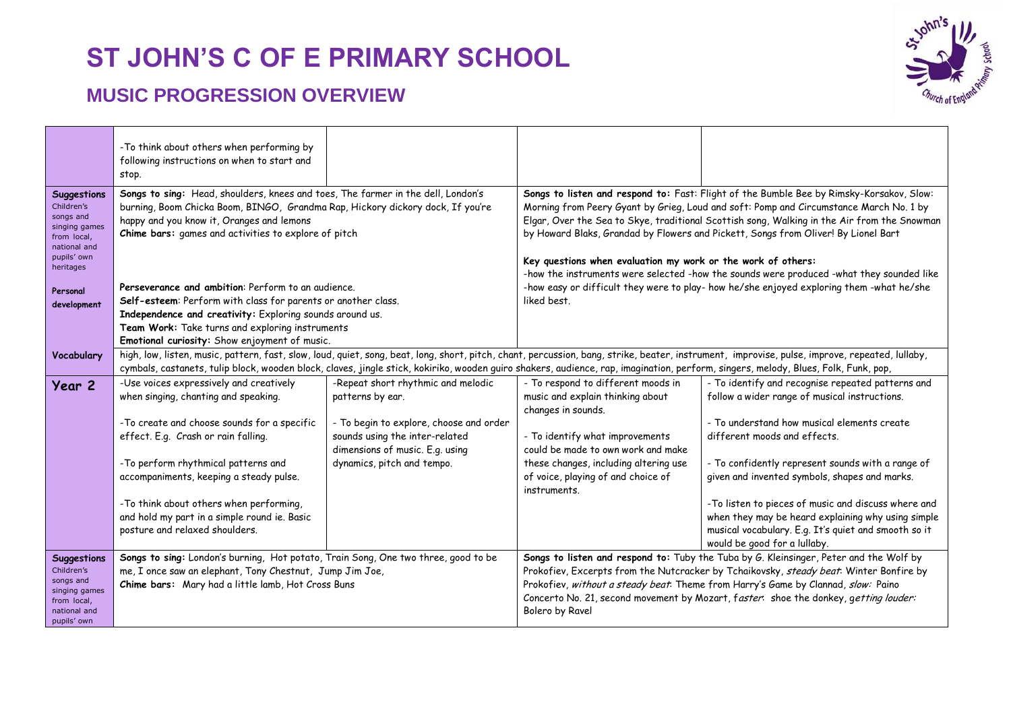

|                                                                                                                                               | -To think about others when performing by<br>following instructions on when to start and<br>stop.                                                                                                                                                                                                                                                                                                                                                                                                             |                                                                                                              |                                                                                              |                                                                                                                                                                                                                                                                                                                                                                                                                                                                                                                                                                 |
|-----------------------------------------------------------------------------------------------------------------------------------------------|---------------------------------------------------------------------------------------------------------------------------------------------------------------------------------------------------------------------------------------------------------------------------------------------------------------------------------------------------------------------------------------------------------------------------------------------------------------------------------------------------------------|--------------------------------------------------------------------------------------------------------------|----------------------------------------------------------------------------------------------|-----------------------------------------------------------------------------------------------------------------------------------------------------------------------------------------------------------------------------------------------------------------------------------------------------------------------------------------------------------------------------------------------------------------------------------------------------------------------------------------------------------------------------------------------------------------|
| Suggestions<br>Children's<br>songs and<br>singing games<br>from local,<br>national and<br>pupils' own<br>heritages<br>Personal<br>development | Songs to sing: Head, shoulders, knees and toes, The farmer in the dell, London's<br>burning, Boom Chicka Boom, BINGO, Grandma Rap, Hickory dickory dock, If you're<br>happy and you know it, Oranges and lemons<br>Chime bars: games and activities to explore of pitch<br>Perseverance and ambition: Perform to an audience.<br>Self-esteem: Perform with class for parents or another class.<br>Independence and creativity: Exploring sounds around us.<br>Team Work: Take turns and exploring instruments |                                                                                                              | Key questions when evaluation my work or the work of others:<br>liked best.                  | Songs to listen and respond to: Fast: Flight of the Bumble Bee by Rimsky-Korsakov, Slow:<br>Morning from Peery Gyant by Grieg, Loud and soft: Pomp and Circumstance March No. 1 by<br>Elgar, Over the Sea to Skye, traditional Scottish song, Walking in the Air from the Snowman<br>by Howard Blaks, Grandad by Flowers and Pickett, Songs from Oliver! By Lionel Bart<br>-how the instruments were selected -how the sounds were produced -what they sounded like<br>-how easy or difficult they were to play- how he/she enjoyed exploring them -what he/she |
| Vocabulary                                                                                                                                    | Emotional curiosity: Show enjoyment of music.                                                                                                                                                                                                                                                                                                                                                                                                                                                                 |                                                                                                              |                                                                                              | high, low, listen, music, pattern, fast, slow, loud, quiet, song, beat, long, short, pitch, chant, percussion, bang, strike, beater, instrument, improvise, pulse, improve, repeated, lullaby,                                                                                                                                                                                                                                                                                                                                                                  |
|                                                                                                                                               | cymbals, castanets, tulip block, wooden block, claves, jingle stick, kokiriko, wooden guiro shakers, audience, rap, imagination, perform, singers, melody, Blues, Folk, Funk, pop,                                                                                                                                                                                                                                                                                                                            |                                                                                                              |                                                                                              |                                                                                                                                                                                                                                                                                                                                                                                                                                                                                                                                                                 |
| Year 2                                                                                                                                        | -Use voices expressively and creatively<br>when singing, chanting and speaking.                                                                                                                                                                                                                                                                                                                                                                                                                               | -Repeat short rhythmic and melodic<br>patterns by ear.                                                       | - To respond to different moods in<br>music and explain thinking about<br>changes in sounds. | - To identify and recognise repeated patterns and<br>follow a wider range of musical instructions.                                                                                                                                                                                                                                                                                                                                                                                                                                                              |
|                                                                                                                                               | - To create and choose sounds for a specific<br>effect. E.g. Crash or rain falling.                                                                                                                                                                                                                                                                                                                                                                                                                           | - To begin to explore, choose and order<br>sounds using the inter-related<br>dimensions of music. E.g. using | - To identify what improvements<br>could be made to own work and make                        | - To understand how musical elements create<br>different moods and effects.                                                                                                                                                                                                                                                                                                                                                                                                                                                                                     |
|                                                                                                                                               | -To perform rhythmical patterns and<br>accompaniments, keeping a steady pulse.                                                                                                                                                                                                                                                                                                                                                                                                                                | dynamics, pitch and tempo.                                                                                   | these changes, including altering use<br>of voice, playing of and choice of<br>instruments.  | - To confidently represent sounds with a range of<br>given and invented symbols, shapes and marks.                                                                                                                                                                                                                                                                                                                                                                                                                                                              |
|                                                                                                                                               | -To think about others when performing,<br>and hold my part in a simple round ie. Basic<br>posture and relaxed shoulders.                                                                                                                                                                                                                                                                                                                                                                                     |                                                                                                              |                                                                                              | -To listen to pieces of music and discuss where and<br>when they may be heard explaining why using simple<br>musical vocabulary. E.g. It's quiet and smooth so it<br>would be good for a lullaby.                                                                                                                                                                                                                                                                                                                                                               |
| <b>Suggestions</b><br>Children's<br>songs and<br>singing games<br>from local,<br>national and<br>pupils' own                                  | Songs to sing: London's burning, Hot potato, Train Song, One two three, good to be<br>me, I once saw an elephant, Tony Chestnut, Jump Jim Joe,<br>Chime bars: Mary had a little lamb, Hot Cross Buns                                                                                                                                                                                                                                                                                                          |                                                                                                              | Bolero by Ravel                                                                              | Songs to listen and respond to: Tuby the Tuba by G. Kleinsinger, Peter and the Wolf by<br>Prokofiev, Excerpts from the Nutcracker by Tchaikovsky, steady beat. Winter Bonfire by<br>Prokofiev, without a steady beat. Theme from Harry's Game by Clannad, slow: Paino<br>Concerto No. 21, second movement by Mozart, faster: shoe the donkey, getting louder:                                                                                                                                                                                                   |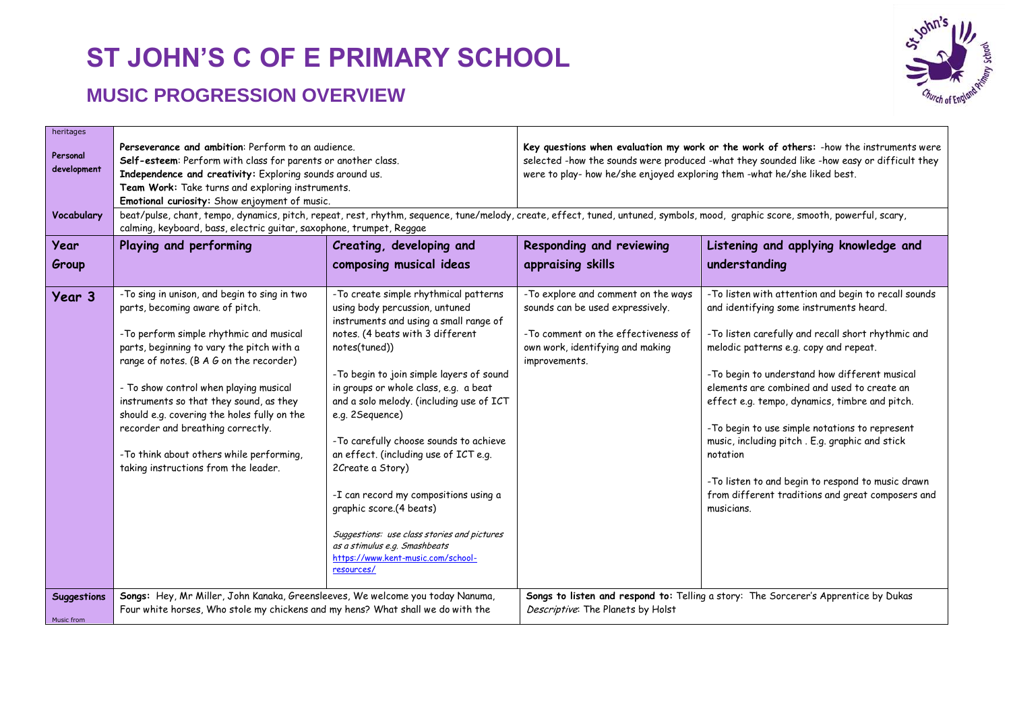

| heritages<br>Personal<br>development<br>Vocabulary | Perseverance and ambition: Perform to an audience.<br>Self-esteem: Perform with class for parents or another class.<br>Independence and creativity: Exploring sounds around us.<br>Team Work: Take turns and exploring instruments.<br>Emotional curiosity: Show enjoyment of music.<br>beat/pulse, chant, tempo, dynamics, pitch, repeat, rest, rhythm, sequence, tune/melody, create, effect, tuned, untuned, symbols, mood, graphic score, smooth, powerful, scary,<br>calming, keyboard, bass, electric guitar, saxophone, trumpet, Reggae |                                                                                                                                                                                                                                                                                                                                                                                                                                                                                                                                                                                                                                            | Key questions when evaluation my work or the work of others: - how the instruments were<br>selected -how the sounds were produced -what they sounded like -how easy or difficult they<br>were to play- how he/she enjoyed exploring them -what he/she liked best. |                                                                                                                                                                                                                                                                                                                                                                                                                                                                                                                                                                                           |
|----------------------------------------------------|------------------------------------------------------------------------------------------------------------------------------------------------------------------------------------------------------------------------------------------------------------------------------------------------------------------------------------------------------------------------------------------------------------------------------------------------------------------------------------------------------------------------------------------------|--------------------------------------------------------------------------------------------------------------------------------------------------------------------------------------------------------------------------------------------------------------------------------------------------------------------------------------------------------------------------------------------------------------------------------------------------------------------------------------------------------------------------------------------------------------------------------------------------------------------------------------------|-------------------------------------------------------------------------------------------------------------------------------------------------------------------------------------------------------------------------------------------------------------------|-------------------------------------------------------------------------------------------------------------------------------------------------------------------------------------------------------------------------------------------------------------------------------------------------------------------------------------------------------------------------------------------------------------------------------------------------------------------------------------------------------------------------------------------------------------------------------------------|
| Year                                               | Playing and performing                                                                                                                                                                                                                                                                                                                                                                                                                                                                                                                         | Creating, developing and                                                                                                                                                                                                                                                                                                                                                                                                                                                                                                                                                                                                                   | Responding and reviewing                                                                                                                                                                                                                                          | Listening and applying knowledge and                                                                                                                                                                                                                                                                                                                                                                                                                                                                                                                                                      |
| Group                                              |                                                                                                                                                                                                                                                                                                                                                                                                                                                                                                                                                | composing musical ideas                                                                                                                                                                                                                                                                                                                                                                                                                                                                                                                                                                                                                    | appraising skills                                                                                                                                                                                                                                                 | understanding                                                                                                                                                                                                                                                                                                                                                                                                                                                                                                                                                                             |
| Year 3                                             | -To sing in unison, and begin to sing in two<br>parts, becoming aware of pitch.<br>-To perform simple rhythmic and musical<br>parts, beginning to vary the pitch with a<br>range of notes. (B A G on the recorder)<br>- To show control when playing musical<br>instruments so that they sound, as they<br>should e.g. covering the holes fully on the<br>recorder and breathing correctly.<br>- To think about others while performing,<br>taking instructions from the leader.                                                               | - To create simple rhythmical patterns<br>using body percussion, untuned<br>instruments and using a small range of<br>notes. (4 beats with 3 different<br>notes(tuned))<br>-To begin to join simple layers of sound<br>in groups or whole class, e.g. a beat<br>and a solo melody. (including use of ICT<br>e.g. 2Sequence)<br>-To carefully choose sounds to achieve<br>an effect. (including use of ICT e.g.<br>2Create a Story)<br>-I can record my compositions using a<br>graphic score.(4 beats)<br>Suggestions: use class stories and pictures<br>as a stimulus e.g. Smashbeats<br>https://www.kent-music.com/school-<br>resources/ | - To explore and comment on the ways<br>sounds can be used expressively.<br>-To comment on the effectiveness of<br>own work, identifying and making<br>improvements.                                                                                              | -To listen with attention and begin to recall sounds<br>and identifying some instruments heard.<br>-To listen carefully and recall short rhythmic and<br>melodic patterns e.g. copy and repeat.<br>-To begin to understand how different musical<br>elements are combined and used to create an<br>effect e.g. tempo, dynamics, timbre and pitch.<br>-To begin to use simple notations to represent<br>music, including pitch. E.g. graphic and stick<br>notation<br>-To listen to and begin to respond to music drawn<br>from different traditions and great composers and<br>musicians. |
| <b>Suggestions</b><br>Music from                   | Songs: Hey, Mr Miller, John Kanaka, Greensleeves, We welcome you today Nanuma,<br>Four white horses, Who stole my chickens and my hens? What shall we do with the                                                                                                                                                                                                                                                                                                                                                                              |                                                                                                                                                                                                                                                                                                                                                                                                                                                                                                                                                                                                                                            | Descriptive: The Planets by Holst                                                                                                                                                                                                                                 | Songs to listen and respond to: Telling a story: The Sorcerer's Apprentice by Dukas                                                                                                                                                                                                                                                                                                                                                                                                                                                                                                       |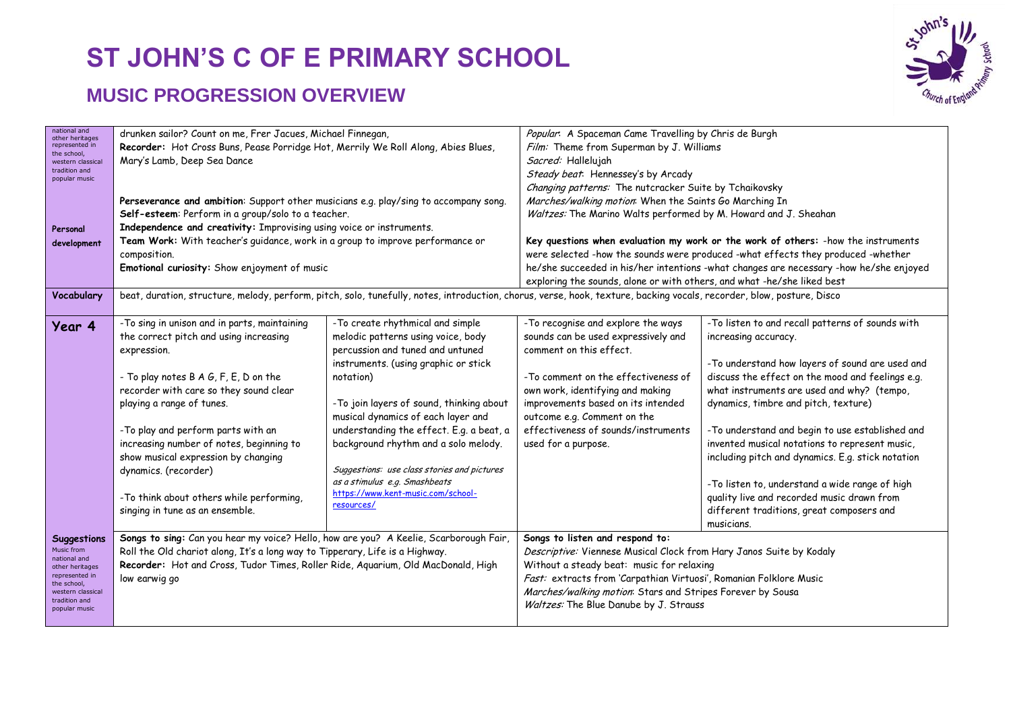

| national and                      | drunken sailor? Count on me, Frer Jacues, Michael Finnegan,                                                                                                           |                                                                                   |                                                                                                        |                                                                                        |  |
|-----------------------------------|-----------------------------------------------------------------------------------------------------------------------------------------------------------------------|-----------------------------------------------------------------------------------|--------------------------------------------------------------------------------------------------------|----------------------------------------------------------------------------------------|--|
| other heritages<br>represented in |                                                                                                                                                                       | Recorder: Hot Cross Buns, Pease Porridge Hot, Merrily We Roll Along, Abies Blues, |                                                                                                        | Popular: A Spaceman Came Travelling by Chris de Burgh                                  |  |
| the school.                       |                                                                                                                                                                       |                                                                                   | Film: Theme from Superman by J. Williams<br>Sacred: Hallelujah                                         |                                                                                        |  |
| western classica<br>tradition and |                                                                                                                                                                       | Mary's Lamb, Deep Sea Dance                                                       |                                                                                                        |                                                                                        |  |
| popular music                     |                                                                                                                                                                       |                                                                                   | Steady beat: Hennessey's by Arcady                                                                     |                                                                                        |  |
|                                   |                                                                                                                                                                       |                                                                                   | Changing patterns: The nutcracker Suite by Tchaikovsky                                                 |                                                                                        |  |
|                                   | Perseverance and ambition: Support other musicians e.g. play/sing to accompany song.                                                                                  |                                                                                   | Marches/walking motion: When the Saints Go Marching In                                                 |                                                                                        |  |
|                                   | Self-esteem: Perform in a group/solo to a teacher.                                                                                                                    |                                                                                   | Waltzes: The Marino Walts performed by M. Howard and J. Sheahan                                        |                                                                                        |  |
| Personal                          | Independence and creativity: Improvising using voice or instruments.                                                                                                  |                                                                                   |                                                                                                        |                                                                                        |  |
| development                       |                                                                                                                                                                       | Team Work: With teacher's guidance, work in a group to improve performance or     |                                                                                                        | Key questions when evaluation my work or the work of others: - how the instruments     |  |
|                                   | composition.                                                                                                                                                          |                                                                                   |                                                                                                        | were selected -how the sounds were produced -what effects they produced -whether       |  |
|                                   | Emotional curiosity: Show enjoyment of music                                                                                                                          |                                                                                   |                                                                                                        | he/she succeeded in his/her intentions -what changes are necessary -how he/she enjoyed |  |
|                                   |                                                                                                                                                                       |                                                                                   | exploring the sounds, alone or with others, and what -he/she liked best                                |                                                                                        |  |
| Vocabulary                        | beat, duration, structure, melody, perform, pitch, solo, tunefully, notes, introduction, chorus, verse, hook, texture, backing vocals, recorder, blow, posture, Disco |                                                                                   |                                                                                                        |                                                                                        |  |
|                                   |                                                                                                                                                                       |                                                                                   |                                                                                                        |                                                                                        |  |
| Year 4                            | -To sing in unison and in parts, maintaining                                                                                                                          | -To create rhythmical and simple                                                  | -To recognise and explore the ways                                                                     | -To listen to and recall patterns of sounds with                                       |  |
|                                   | the correct pitch and using increasing                                                                                                                                | melodic patterns using voice, body                                                | sounds can be used expressively and                                                                    | increasing accuracy.                                                                   |  |
|                                   | expression.                                                                                                                                                           | percussion and tuned and untuned                                                  | comment on this effect.                                                                                |                                                                                        |  |
|                                   |                                                                                                                                                                       | instruments. (using graphic or stick                                              |                                                                                                        | -To understand how layers of sound are used and                                        |  |
|                                   | - To play notes B A G, F, E, D on the                                                                                                                                 | notation)                                                                         | -To comment on the effectiveness of                                                                    | discuss the effect on the mood and feelings e.g.                                       |  |
|                                   | recorder with care so they sound clear                                                                                                                                |                                                                                   | own work, identifying and making                                                                       | what instruments are used and why? (tempo,                                             |  |
|                                   | playing a range of tunes.                                                                                                                                             | -To join layers of sound, thinking about                                          | improvements based on its intended                                                                     | dynamics, timbre and pitch, texture)                                                   |  |
|                                   |                                                                                                                                                                       | musical dynamics of each layer and                                                | outcome e.g. Comment on the                                                                            |                                                                                        |  |
|                                   |                                                                                                                                                                       |                                                                                   | effectiveness of sounds/instruments                                                                    |                                                                                        |  |
|                                   | -To play and perform parts with an                                                                                                                                    | understanding the effect. E.g. a beat, a                                          |                                                                                                        | -To understand and begin to use established and                                        |  |
|                                   | increasing number of notes, beginning to                                                                                                                              | background rhythm and a solo melody.                                              | used for a purpose.                                                                                    | invented musical notations to represent music,                                         |  |
|                                   | show musical expression by changing                                                                                                                                   |                                                                                   |                                                                                                        | including pitch and dynamics. E.g. stick notation                                      |  |
|                                   | dynamics. (recorder)                                                                                                                                                  | Suggestions: use class stories and pictures                                       |                                                                                                        |                                                                                        |  |
|                                   |                                                                                                                                                                       | as a stimulus e.g. Smashbeats<br>https://www.kent-music.com/school-               |                                                                                                        | -To listen to, understand a wide range of high                                         |  |
|                                   | -To think about others while performing,                                                                                                                              | resources/                                                                        |                                                                                                        | quality live and recorded music drawn from                                             |  |
|                                   | singing in tune as an ensemble.                                                                                                                                       |                                                                                   |                                                                                                        | different traditions, great composers and                                              |  |
|                                   |                                                                                                                                                                       |                                                                                   |                                                                                                        | musicians.                                                                             |  |
| <b>Suggestions</b>                | Songs to sing: Can you hear my voice? Hello, how are you? A Keelie, Scarborough Fair,                                                                                 |                                                                                   | Songs to listen and respond to:<br>Descriptive: Viennese Musical Clock from Hary Janos Suite by Kodaly |                                                                                        |  |
| Music from<br>national and        | Roll the Old chariot along, It's a long way to Tipperary, Life is a Highway.                                                                                          |                                                                                   |                                                                                                        |                                                                                        |  |
| other heritages                   | Recorder: Hot and Cross, Tudor Times, Roller Ride, Aquarium, Old MacDonald, High                                                                                      |                                                                                   | Without a steady beat: music for relaxing                                                              |                                                                                        |  |
| represented in<br>the school,     | low earwig go                                                                                                                                                         |                                                                                   |                                                                                                        | Fast: extracts from 'Carpathian Virtuosi', Romanian Folklore Music                     |  |
| western classical                 |                                                                                                                                                                       |                                                                                   | Marches/walking motion: Stars and Stripes Forever by Sousa                                             |                                                                                        |  |
| tradition and<br>popular music    |                                                                                                                                                                       |                                                                                   |                                                                                                        |                                                                                        |  |
|                                   |                                                                                                                                                                       |                                                                                   | Waltzes: The Blue Danube by J. Strauss                                                                 |                                                                                        |  |
|                                   |                                                                                                                                                                       |                                                                                   |                                                                                                        |                                                                                        |  |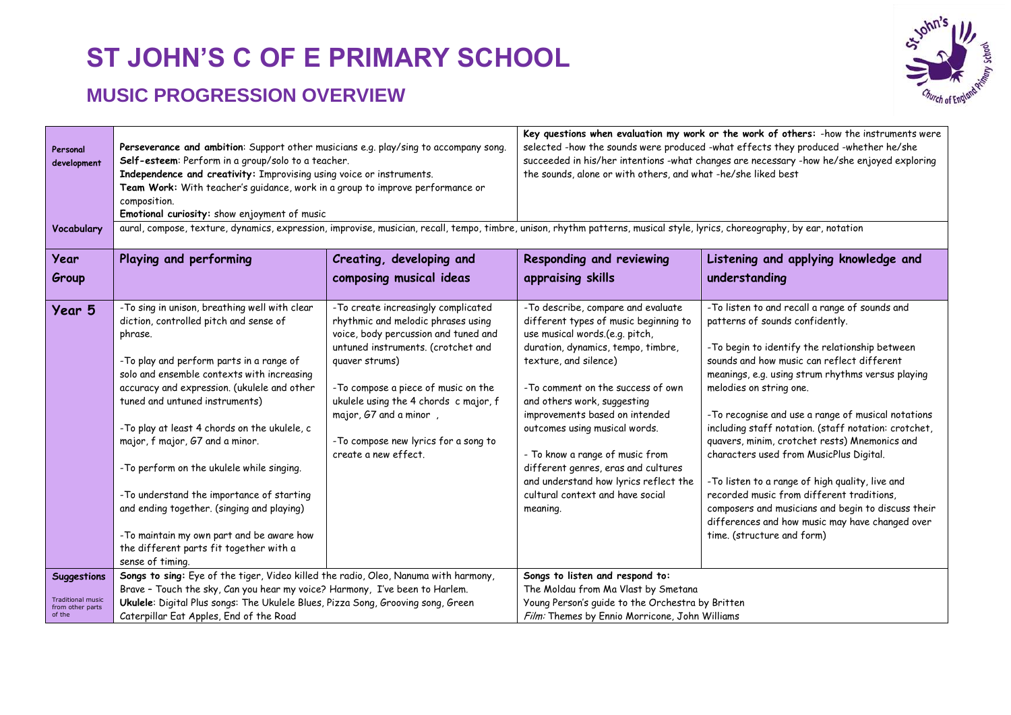

| Personal<br>development                                               | Perseverance and ambition: Support other musicians e.g. play/sing to accompany song.<br>Self-esteem: Perform in a group/solo to a teacher.<br>Independence and creativity: Improvising using voice or instruments.<br>Team Work: With teacher's quidance, work in a group to improve performance or<br>composition.<br>Emotional curiosity: show enjoyment of music                                                                                                                                                                                                                                                  |                                                                                                                                                                                                                                                                                                                                                        | Key questions when evaluation my work or the work of others: - how the instruments were<br>selected -how the sounds were produced -what effects they produced -whether he/she<br>succeeded in his/her intentions -what changes are necessary -how he/she enjoyed exploring<br>the sounds, alone or with others, and what -he/she liked best                                                                                                                                            |                                                                                                                                                                                                                                                                                                                                                                                                                                                                                                                                                                                                                                                                                                                      |  |
|-----------------------------------------------------------------------|----------------------------------------------------------------------------------------------------------------------------------------------------------------------------------------------------------------------------------------------------------------------------------------------------------------------------------------------------------------------------------------------------------------------------------------------------------------------------------------------------------------------------------------------------------------------------------------------------------------------|--------------------------------------------------------------------------------------------------------------------------------------------------------------------------------------------------------------------------------------------------------------------------------------------------------------------------------------------------------|----------------------------------------------------------------------------------------------------------------------------------------------------------------------------------------------------------------------------------------------------------------------------------------------------------------------------------------------------------------------------------------------------------------------------------------------------------------------------------------|----------------------------------------------------------------------------------------------------------------------------------------------------------------------------------------------------------------------------------------------------------------------------------------------------------------------------------------------------------------------------------------------------------------------------------------------------------------------------------------------------------------------------------------------------------------------------------------------------------------------------------------------------------------------------------------------------------------------|--|
| Vocabulary                                                            |                                                                                                                                                                                                                                                                                                                                                                                                                                                                                                                                                                                                                      |                                                                                                                                                                                                                                                                                                                                                        | aural, compose, texture, dynamics, expression, improvise, musician, recall, tempo, timbre, unison, rhythm patterns, musical style, lyrics, choreography, by ear, notation                                                                                                                                                                                                                                                                                                              |                                                                                                                                                                                                                                                                                                                                                                                                                                                                                                                                                                                                                                                                                                                      |  |
| Year<br>Group                                                         | Playing and performing                                                                                                                                                                                                                                                                                                                                                                                                                                                                                                                                                                                               | Creating, developing and<br>composing musical ideas                                                                                                                                                                                                                                                                                                    | Responding and reviewing<br>appraising skills                                                                                                                                                                                                                                                                                                                                                                                                                                          | Listening and applying knowledge and<br>understanding                                                                                                                                                                                                                                                                                                                                                                                                                                                                                                                                                                                                                                                                |  |
| Year 5                                                                | -To sing in unison, breathing well with clear<br>diction, controlled pitch and sense of<br>phrase.<br>-To play and perform parts in a range of<br>solo and ensemble contexts with increasing<br>accuracy and expression. (ukulele and other<br>tuned and untuned instruments)<br>-To play at least 4 chords on the ukulele, c<br>major, f major, G7 and a minor.<br>-To perform on the ukulele while singing.<br>-To understand the importance of starting<br>and ending together. (singing and playing)<br>-To maintain my own part and be aware how<br>the different parts fit together with a<br>sense of timing. | - To create increasingly complicated<br>rhythmic and melodic phrases using<br>voice, body percussion and tuned and<br>untuned instruments. (crotchet and<br>quaver strums)<br>- To compose a piece of music on the<br>ukulele using the 4 chords c major, f<br>major, G7 and a minor,<br>- To compose new lyrics for a song to<br>create a new effect. | -To describe, compare and evaluate<br>different types of music beginning to<br>use musical words.(e.g. pitch,<br>duration, dynamics, tempo, timbre,<br>texture, and silence)<br>-To comment on the success of own<br>and others work, suggesting<br>improvements based on intended<br>outcomes using musical words.<br>- To know a range of music from<br>different genres, eras and cultures<br>and understand how lyrics reflect the<br>cultural context and have social<br>meaning. | -To listen to and recall a range of sounds and<br>patterns of sounds confidently.<br>-To begin to identify the relationship between<br>sounds and how music can reflect different<br>meanings, e.g. using strum rhythms versus playing<br>melodies on string one.<br>- To recognise and use a range of musical notations<br>including staff notation. (staff notation: crotchet,<br>quavers, minim, crotchet rests) Mnemonics and<br>characters used from MusicPlus Digital.<br>- To listen to a range of high quality, live and<br>recorded music from different traditions,<br>composers and musicians and begin to discuss their<br>differences and how music may have changed over<br>time. (structure and form) |  |
| <b>Suggestions</b><br>Traditional music<br>from other parts<br>of the | Songs to sing: Eye of the tiger, Video killed the radio, Oleo, Nanuma with harmony,<br>Brave - Touch the sky, Can you hear my voice? Harmony, I've been to Harlem.<br>Ukulele: Digital Plus songs: The Ukulele Blues, Pizza Song, Grooving song, Green<br>Caterpillar Eat Apples, End of the Road                                                                                                                                                                                                                                                                                                                    |                                                                                                                                                                                                                                                                                                                                                        | Songs to listen and respond to:<br>The Moldau from Ma Vlast by Smetana<br>Young Person's guide to the Orchestra by Britten<br>Film: Themes by Ennio Morricone, John Williams                                                                                                                                                                                                                                                                                                           |                                                                                                                                                                                                                                                                                                                                                                                                                                                                                                                                                                                                                                                                                                                      |  |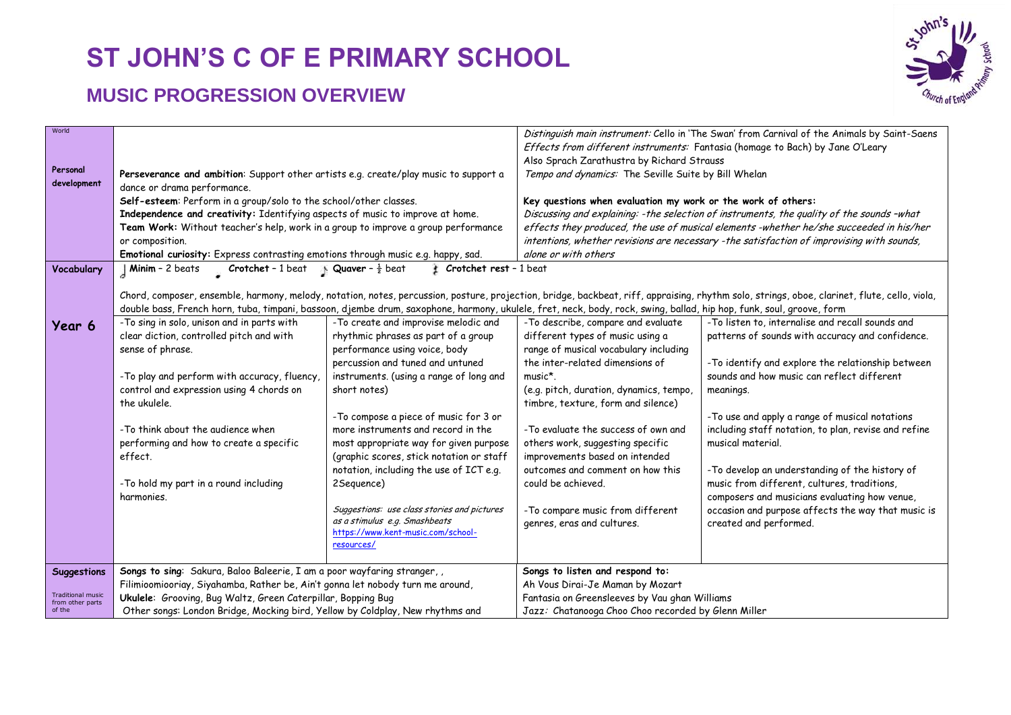

| World                                                                                   |                                                                                                                                                                                          |                                                              |                                                                                                                                                                                                              | Distinguish main instrument: Cello in 'The Swan' from Carnival of the Animals by Saint-Saens                                                                                                 |
|-----------------------------------------------------------------------------------------|------------------------------------------------------------------------------------------------------------------------------------------------------------------------------------------|--------------------------------------------------------------|--------------------------------------------------------------------------------------------------------------------------------------------------------------------------------------------------------------|----------------------------------------------------------------------------------------------------------------------------------------------------------------------------------------------|
|                                                                                         |                                                                                                                                                                                          |                                                              |                                                                                                                                                                                                              | Effects from different instruments: Fantasia (homage to Bach) by Jane O'Leary                                                                                                                |
|                                                                                         |                                                                                                                                                                                          |                                                              | Also Sprach Zarathustra by Richard Strauss                                                                                                                                                                   |                                                                                                                                                                                              |
| Personal                                                                                | Perseverance and ambition: Support other artists e.g. create/play music to support a                                                                                                     |                                                              | Tempo and dynamics: The Seville Suite by Bill Whelan                                                                                                                                                         |                                                                                                                                                                                              |
| development                                                                             | dance or drama performance.                                                                                                                                                              |                                                              |                                                                                                                                                                                                              |                                                                                                                                                                                              |
|                                                                                         | Self-esteem: Perform in a group/solo to the school/other classes.                                                                                                                        |                                                              | Key questions when evaluation my work or the work of others:                                                                                                                                                 |                                                                                                                                                                                              |
|                                                                                         | Independence and creativity: Identifying aspects of music to improve at home.                                                                                                            |                                                              |                                                                                                                                                                                                              | Discussing and explaining: -the selection of instruments, the quality of the sounds -what                                                                                                    |
|                                                                                         | Team Work: Without teacher's help, work in a group to improve a group performance<br>or composition.<br>Emotional curiosity: Express contrasting emotions through music e.g. happy, sad. |                                                              | effects they produced, the use of musical elements -whether he/she succeeded in his/her<br>intentions, whether revisions are necessary -the satisfaction of improvising with sounds,<br>alone or with others |                                                                                                                                                                                              |
|                                                                                         |                                                                                                                                                                                          |                                                              |                                                                                                                                                                                                              |                                                                                                                                                                                              |
|                                                                                         |                                                                                                                                                                                          |                                                              |                                                                                                                                                                                                              |                                                                                                                                                                                              |
| Vocabulary                                                                              | Minim - 2 beats<br>Crotchet - 1 beat                                                                                                                                                     | <b>Quaver</b> - $\frac{1}{2}$ beat<br>Crotchet rest - 1 beat |                                                                                                                                                                                                              |                                                                                                                                                                                              |
|                                                                                         |                                                                                                                                                                                          |                                                              |                                                                                                                                                                                                              |                                                                                                                                                                                              |
|                                                                                         |                                                                                                                                                                                          |                                                              |                                                                                                                                                                                                              | Chord, composer, ensemble, harmony, melody, notation, notes, percussion, posture, projection, bridge, backbeat, riff, appraising, rhythm solo, strings, oboe, clarinet, flute, cello, viola, |
|                                                                                         | double bass, French horn, tuba, timpani, bassoon, djembe drum, saxophone, harmony, ukulele, fret, neck, body, rock, swing, ballad, hip hop, funk, soul, groove, form                     |                                                              |                                                                                                                                                                                                              |                                                                                                                                                                                              |
| Year 6                                                                                  | -To sing in solo, unison and in parts with                                                                                                                                               | - To create and improvise melodic and                        | -To describe, compare and evaluate                                                                                                                                                                           | -To listen to, internalise and recall sounds and                                                                                                                                             |
|                                                                                         | clear diction, controlled pitch and with                                                                                                                                                 | rhythmic phrases as part of a group                          | different types of music using a                                                                                                                                                                             | patterns of sounds with accuracy and confidence.                                                                                                                                             |
|                                                                                         | sense of phrase.                                                                                                                                                                         | performance using voice, body                                | range of musical vocabulary including                                                                                                                                                                        |                                                                                                                                                                                              |
|                                                                                         |                                                                                                                                                                                          | percussion and tuned and untuned                             | the inter-related dimensions of                                                                                                                                                                              | - To identify and explore the relationship between                                                                                                                                           |
|                                                                                         | -To play and perform with accuracy, fluency,                                                                                                                                             | instruments. (using a range of long and                      | music*.                                                                                                                                                                                                      | sounds and how music can reflect different                                                                                                                                                   |
|                                                                                         | control and expression using 4 chords on                                                                                                                                                 | short notes)                                                 | (e.g. pitch, duration, dynamics, tempo,                                                                                                                                                                      | meanings.                                                                                                                                                                                    |
|                                                                                         | the ukulele.                                                                                                                                                                             |                                                              | timbre, texture, form and silence)                                                                                                                                                                           |                                                                                                                                                                                              |
|                                                                                         |                                                                                                                                                                                          | - To compose a piece of music for 3 or                       |                                                                                                                                                                                                              | - To use and apply a range of musical notations                                                                                                                                              |
|                                                                                         | -To think about the audience when                                                                                                                                                        | more instruments and record in the                           | -To evaluate the success of own and                                                                                                                                                                          | including staff notation, to plan, revise and refine                                                                                                                                         |
|                                                                                         | performing and how to create a specific                                                                                                                                                  | most appropriate way for given purpose                       | others work, suggesting specific                                                                                                                                                                             | musical material.                                                                                                                                                                            |
|                                                                                         | effect.                                                                                                                                                                                  | (graphic scores, stick notation or staff                     | improvements based on intended                                                                                                                                                                               |                                                                                                                                                                                              |
|                                                                                         |                                                                                                                                                                                          | notation, including the use of ICT e.g.                      | outcomes and comment on how this<br>could be achieved.                                                                                                                                                       | -To develop an understanding of the history of                                                                                                                                               |
|                                                                                         | -To hold my part in a round including<br>harmonies.                                                                                                                                      | 2Sequence)                                                   |                                                                                                                                                                                                              | music from different, cultures, traditions,                                                                                                                                                  |
|                                                                                         |                                                                                                                                                                                          | Suggestions: use class stories and pictures                  | -To compare music from different                                                                                                                                                                             | composers and musicians evaluating how venue,<br>occasion and purpose affects the way that music is                                                                                          |
|                                                                                         |                                                                                                                                                                                          | as a stimulus e.g. Smashbeats                                | genres, eras and cultures.                                                                                                                                                                                   | created and performed.                                                                                                                                                                       |
|                                                                                         |                                                                                                                                                                                          | https://www.kent-music.com/school-                           |                                                                                                                                                                                                              |                                                                                                                                                                                              |
|                                                                                         |                                                                                                                                                                                          | resources/                                                   |                                                                                                                                                                                                              |                                                                                                                                                                                              |
|                                                                                         |                                                                                                                                                                                          |                                                              |                                                                                                                                                                                                              |                                                                                                                                                                                              |
| <b>Suggestions</b>                                                                      | Songs to sing: Sakura, Baloo Baleerie, I am a poor wayfaring stranger,,                                                                                                                  |                                                              | Songs to listen and respond to:                                                                                                                                                                              |                                                                                                                                                                                              |
| <b>Traditional music</b>                                                                | Filimioomiooriay, Siyahamba, Rather be, Ain't gonna let nobody turn me around,                                                                                                           |                                                              | Ah Vous Dirai-Je Maman by Mozart                                                                                                                                                                             |                                                                                                                                                                                              |
| from other parts                                                                        | Ukulele: Grooving, Bug Waltz, Green Caterpillar, Bopping Bug                                                                                                                             |                                                              | Fantasia on Greensleeves by Vau ghan Williams                                                                                                                                                                |                                                                                                                                                                                              |
| of the<br>Other songs: London Bridge, Mocking bird, Yellow by Coldplay, New rhythms and |                                                                                                                                                                                          | Jazz: Chatanooga Choo Choo recorded by Glenn Miller          |                                                                                                                                                                                                              |                                                                                                                                                                                              |